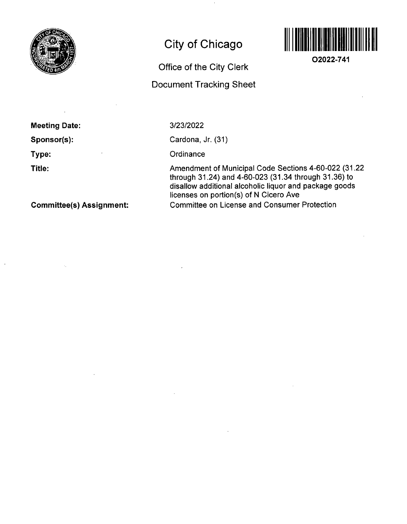

# **City of Chicago**

## **Office of the City Clerk**

### **Document Tracking Sheet**



**02022-741** 

**Meeting Date: Sponsor(s): Type:** 

**Title:** 

3/23/2022

Cardona, Jr. (31)

**Ordinance** 

Amendment of Municipal Code Sections 4-60-022 (31.22 through 31.24) and 4-60-023 (31.34 through 31.36) to disallow additional alcoholic liquor and package goods licenses on portion(s) of N Cicero Ave Committee on License and Consumer Protection

**Committee(s) Assignment:**